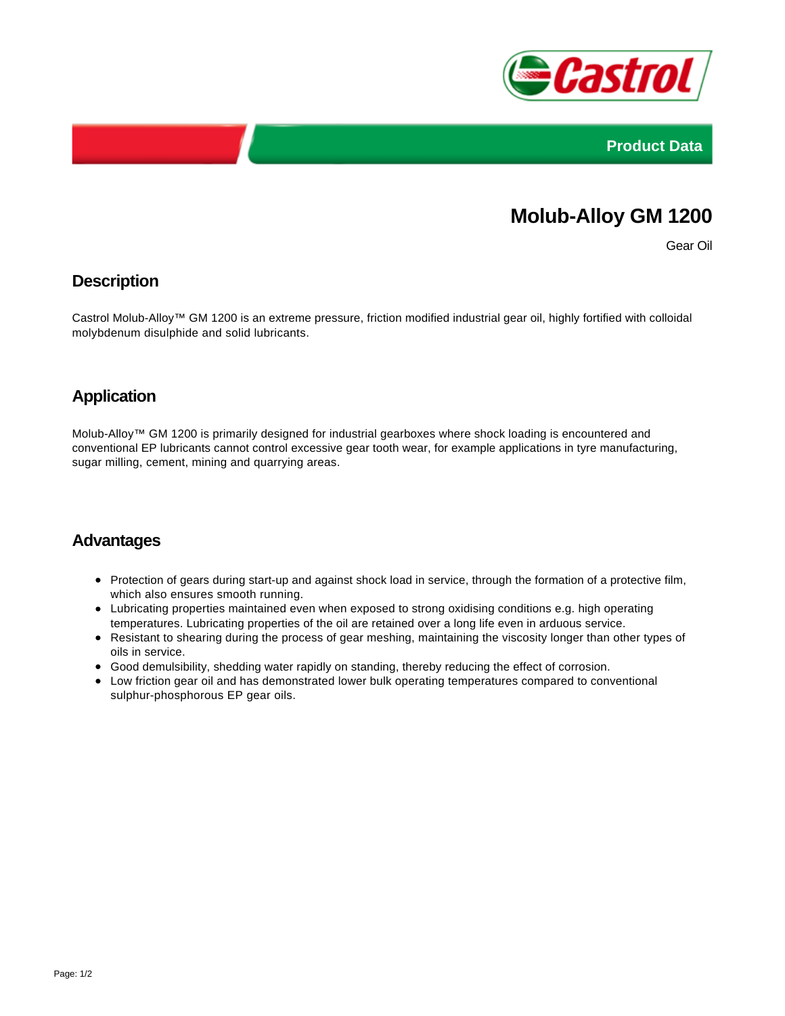



# **Molub-Alloy GM 1200**

Gear Oil

## **Description**

Castrol Molub-Alloy™ GM 1200 is an extreme pressure, friction modified industrial gear oil, highly fortified with colloidal molybdenum disulphide and solid lubricants.

# **Application**

Molub-Alloy™ GM 1200 is primarily designed for industrial gearboxes where shock loading is encountered and conventional EP lubricants cannot control excessive gear tooth wear, for example applications in tyre manufacturing, sugar milling, cement, mining and quarrying areas.

#### **Advantages**

- Protection of gears during start-up and against shock load in service, through the formation of a protective film, which also ensures smooth running.
- Lubricating properties maintained even when exposed to strong oxidising conditions e.g. high operating temperatures. Lubricating properties of the oil are retained over a long life even in arduous service.
- Resistant to shearing during the process of gear meshing, maintaining the viscosity longer than other types of oils in service.
- Good demulsibility, shedding water rapidly on standing, thereby reducing the effect of corrosion.
- Low friction gear oil and has demonstrated lower bulk operating temperatures compared to conventional sulphur-phosphorous EP gear oils.